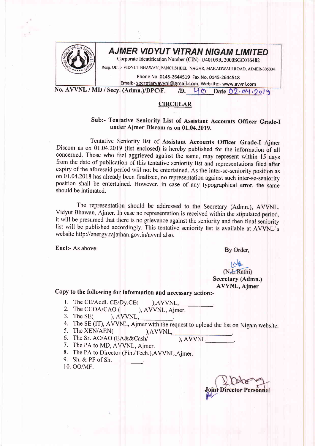

## **AJMER VIDYUT VITRAN NIGAM LIMITED**

Corporate Identification Number (CIN)- U40109RJ2000SGC016482

Resg. Off. :- VIDYUT BHAWAN, PANCHSHEEL NAGAR, MAKADWALI ROAD, AJMER-305004

Email:- secretaryavvnl@gmail.com, Website:- www.avvnl.com Phone No. 0145-2644519 Fax No. 0145-2644518

No. AVVNL / MD / Secy. (Admn.)/DPC/F.  $/D.$  40 Date  $O2 \cdot O4 \cdot 2019$ 

## **CIRCULAR**

## Sub:- Tentative Seniority List of Assistant Accounts Officer Grade-I under Ajmer Discom as on 01.04.2019.

Tentative Seniority list of Assistant Accounts Officer Grade-I Ajmer Discom as on 01.04.2019 (list enclosed) is hereby published for the information of all concerned. Those who feel aggrieved against the same, may represent within 15 days from the date of publication of this tentative seniority list and representations filed after expiry of the aforesaid period will not be entertained. As the inter-se-seniority position as on 01.04.2018 has already been finalized, no representation against such inter-se-seniority position shall be entertained. However, in case of any typographical error, the same should be intimated.

The representation should be addressed to the Secretary (Admn.), AVVNL, Vidyut Bhawan, Ajmer. In case no representation is received within the stipulated period, it will be presumed that there is no grievance against the seniority and then final seniority list will be published accordingly. This tentative seniority list is available at AVVNL's website http://energy.rajathan.gov.in/avvnl also.

Encl:- As above

By Order.

(N.L.Rathi) Secretary (Admn.) AVVNL, Ajmer

Copy to the following for information and necessary action:-

- 
- 1. The CE/Addl. CE/Dy.CE( ),AVVNL,<br>2. The CCOA/CAO ( ), AVVNL, Ajmer.<br>3. The SE( ), AVVNL,
- 3. The  $SE($
- 4. The SE (IT), AVVNL, Ajmer with the request to upload the list on Nigam website.<br>5. The XEN/AEN( ),AVVNL, 6. The Sr. AO/AO (EA&&Cash/ ), AVVNL
- 
- 

- 7. The PA to MD, AVVNL, Ajmer.
- 8. The PA to Director (Fin./Tech.), AVVNL, Ajmer.
- 9. Sh. & PF of Sh.

t0. oo/MF.

Personnel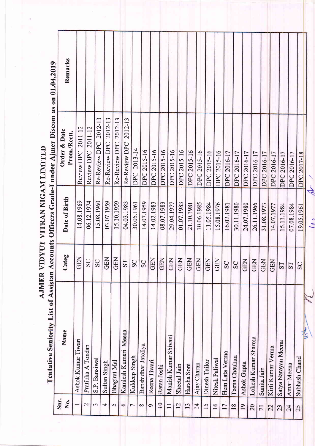|                 | Tentative Seniority List of Assistan |            |               | Accounts Officers Grade-I under Ajmer Discom as on 01.04.2019 |         |  |
|-----------------|--------------------------------------|------------|---------------|---------------------------------------------------------------|---------|--|
| Snr.<br>Ż.      | Name                                 | Categ      | Date of Birth | Order & Date<br>Prom./Rectt.                                  | Remarks |  |
|                 | Ashok Kumar Tiwari                   | <b>GEN</b> | 14.08.1969    | Review DPC 2011-12                                            |         |  |
| $\mathbf 2$     | Pratibha A Tondan                    | SC         | 06.12.1974    | Review DPC 2011-12                                            |         |  |
| 3               | S.P. Bansiwal                        | SC         | 15.08.1960    | Re-Review DPC 2012-13                                         |         |  |
| 4               | Sultan Singh                         | GEN        | 03.07.1959    | Re-Review DPC 2012-13                                         |         |  |
| 5               | Bhagirat Mal                         | GEN        | 15.10.1959    | Re-Review DPC -2012-13                                        |         |  |
| $\circ$         | Kamlesh Kumari Meena                 | S          | 04.03.1983    | Re-Review DPC 2012-13                                         |         |  |
| $\overline{ }$  | Kuldeep Singh                        | SC         | 30.05.1961    | DPC 2013-14                                                   |         |  |
| $\infty$        | Banshidhar Jatoliya                  | SC         | 14.07.1959    | DPC 2015-16                                                   |         |  |
| $\mathbf 0$     | Reena Tiwari                         | <b>GEN</b> | 14.02.1983    | DPC 2015-16                                                   |         |  |
| $\overline{10}$ | Ratan Joshi                          | GEN        | 08.07.1983    | DPC 2015-16                                                   |         |  |
| $\Box$          | Manish Kumar Shivani                 | GEN        | 29.04.1977    | DPC 2015-16                                                   |         |  |
| 12              | Sheetal Jain                         | <b>GEN</b> | 01.07.1983    | DPC 2015-16                                                   |         |  |
| 13              | Harsha Soni                          | <b>GEN</b> | 21.10.1981    | DPC 2015-16                                                   |         |  |
| $\overline{4}$  | Ajay Charan                          | <b>GEN</b> | 10.06.1985    | DPC 2015-16                                                   |         |  |
| 15              | Dinesh Tailor                        | <b>GEN</b> | 11.05.1984    | DPC 2015-16                                                   |         |  |
| $\overline{16}$ | Nitesh Paliwal                       | GEN        | 15.08.1976    | DPC 2015-16                                                   |         |  |
| $\overline{17}$ | Hem Lata Verma                       | SC         | 16.02.1981    | DPC 2016-17                                                   |         |  |
| 18              | Teena Chauhan                        | SC         | 30.11.1980    | DPC 2016-17                                                   |         |  |
| 19              | <b>Ashok Gupta</b>                   | <b>GEN</b> | 24.07.1980    | DPC 2016-17                                                   |         |  |
| 20              | Lokesh Kumar Sharma                  | GEN        | 26.11.1966    | DPC 2016-17                                                   |         |  |
| 21              | Sunita Jain                          | <b>GEN</b> | 31.08.1973    | DPC 2016-17                                                   |         |  |
| 22              | Kirti Kumar Verma                    | <b>GEN</b> | 14.07.1977    | DPC 2016-17                                                   |         |  |
| 23              | Satya Narayan Meena                  | <b>TS</b>  | 15.11.1984    | DPC 2016-17                                                   |         |  |
| 24              | Amar Meena                           | <b>ST</b>  | 07.08.1984    | DPC 2016-17                                                   |         |  |
| 25              | Subhash Chand                        | SC         | 19.05.1961    | DPC 2017-18                                                   |         |  |
|                 | United                               |            |               |                                                               |         |  |

 $\omega$ 

 $\tilde{t}$ 

AJMER VIDYUT VITRAN NIGAM LIMITED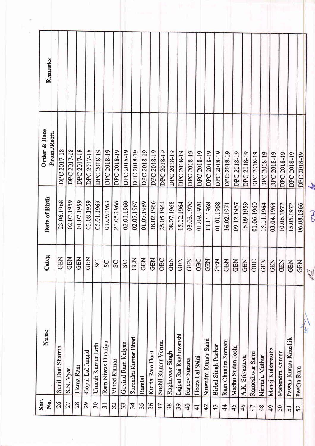| Remarks                      |                   |             |             |                       |                  |                   |             |                   |                      |             |                    |                    |                 |                        |                |                 |                      |                     |                    |                   |                 |                 |                |                   |                |                     |             |            |
|------------------------------|-------------------|-------------|-------------|-----------------------|------------------|-------------------|-------------|-------------------|----------------------|-------------|--------------------|--------------------|-----------------|------------------------|----------------|-----------------|----------------------|---------------------|--------------------|-------------------|-----------------|-----------------|----------------|-------------------|----------------|---------------------|-------------|------------|
| Order & Date<br>Prom./Rectt. | DPC 2017-18       | DPC 2017-18 | DPC 2017-18 | DPC 2017-18           | DPC 2018-19      | DPC 2018-19       | DPC 2018-19 | DPC 2018-19       | DPC 2018-19          | DPC 2018-19 | <b>DPC 2018-19</b> | DPC 2018-19        | DPC 2018-19     | DPC 2018-19            | DPC 2018-19    | DPC 2018-19     | DPC 2018-19          | DPC 2018-19         | DPC 2018-19        | DPC 2018-19       | DPC 2018-19     | DPC 2018-19     | DPC 2018-19    | DPC 2018-19       | DPC 2018-19    | DPC 2018-19         | DPC 2018-19 | <b>Abr</b> |
| Date of Birth                | 23.06.1968        | 02.07.1959  | 01.07.1959  | 03.08.1959            | 05.01.1969       | 01.09.1963        | 21.05.1966  | 02.01.1960        | 02.07.1967           | 01.07.1969  | 18.02.1966         | 25.05.1964         | 08.07.1968      | 15.12.1964             | 03.03.1970     | 01.09.1970      | 13.11.1968           | 01.01.1968          | 16.02.1971         | 09.12.1967        | 15.09.1959      | 01.06.1960      | 15.11.1964     | 03.04.1968        | 10.06.1972     | 15.05.1972          | 06.08.1966  | $\Omega$   |
| Categ                        | GEN<br>GEN        |             |             | E<br>B<br>G<br>B<br>G |                  | S                 | SC          | SC                | <b>GEN</b>           | <b>GEN</b>  | <b>GEN</b>         | OBC                | <b>GEN</b>      | <b>GEN</b>             | <b>GEN</b>     | OBC             | <b>GEN</b>           |                     | GEN<br>GEN         |                   | GEN<br>GEN      |                 | OBC<br>GEN     | <b>GEN</b>        | <b>GEN</b>     | <b>GEN</b>          | <b>GEN</b>  |            |
| Name                         | Sunil Dutt Sharma | S.N. Vyas   | Hema Ram    | Gopal Lal Jangid      | Umesh Kumar Loth | Ram Niwas Dhaniya | Vinod Kumar | Govind Ram Kalyan | Surendra Kumar Bhati | Ramlal      | Kurda Ram Doot     | Sushil Kumar Verma | Raghuveer Singh | Lajpat Rai Raghuvanshi | Rajeev Surana  | Heera Lal Saini | Surendra Kumar Saini | Birbal Singh Pachar | Ram Chandra Somani | Madhu Sudan Joshi | A.K. Srivastava | Rameshwar Saini | Nirmala Mathur | Manoj Kulshrestha | Mahendra Kumar | Pawan Kumar Kaushik | Peetha Ram  |            |
| Snr.<br>Š.                   | 26                | 27          | 28          | 29                    | 30               | $\overline{31}$   | 32          | 33                | 34                   | 35          | 36                 | 37                 | 38              | 39                     | $\overline{4}$ | $\overline{41}$ | 42                   | 43                  | $\overline{4}$     | 45                | 46              | 47              | 48             | 49                | 50             | 51                  | 52          |            |